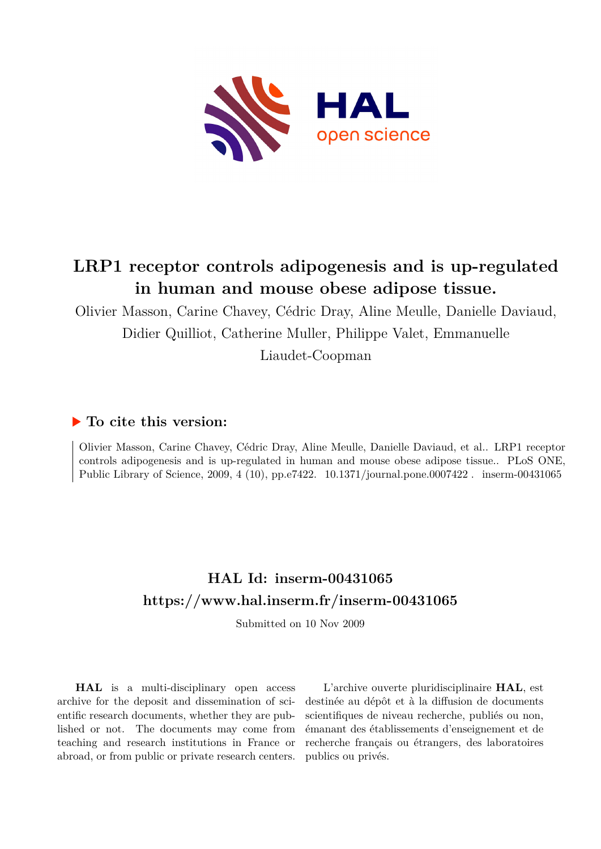

# **LRP1 receptor controls adipogenesis and is up-regulated in human and mouse obese adipose tissue.**

Olivier Masson, Carine Chavey, Cédric Dray, Aline Meulle, Danielle Daviaud, Didier Quilliot, Catherine Muller, Philippe Valet, Emmanuelle Liaudet-Coopman

# **To cite this version:**

Olivier Masson, Carine Chavey, Cédric Dray, Aline Meulle, Danielle Daviaud, et al.. LRP1 receptor controls adipogenesis and is up-regulated in human and mouse obese adipose tissue.. PLoS ONE, Public Library of Science, 2009, 4 (10), pp.e7422.  $10.1371/journal.pone.0007422$ . inserm-00431065

# **HAL Id: inserm-00431065 <https://www.hal.inserm.fr/inserm-00431065>**

Submitted on 10 Nov 2009

**HAL** is a multi-disciplinary open access archive for the deposit and dissemination of scientific research documents, whether they are published or not. The documents may come from teaching and research institutions in France or abroad, or from public or private research centers.

L'archive ouverte pluridisciplinaire **HAL**, est destinée au dépôt et à la diffusion de documents scientifiques de niveau recherche, publiés ou non, émanant des établissements d'enseignement et de recherche français ou étrangers, des laboratoires publics ou privés.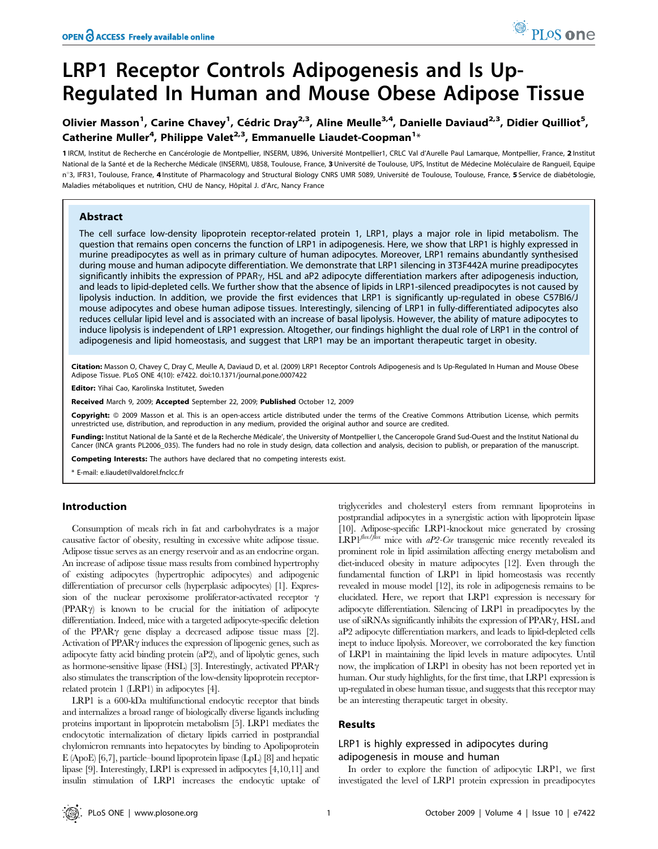# LRP1 Receptor Controls Adipogenesis and Is Up-Regulated In Human and Mouse Obese Adipose Tissue

# Olivier Masson<sup>1</sup>, Carine Chavey<sup>1</sup>, Cédric Dray<sup>2,3</sup>, Aline Meulle<sup>3,4</sup>, Danielle Daviaud<sup>2,3</sup>, Didier Quilliot<sup>5</sup>, Catherine Muller<sup>4</sup>, Philippe Valet<sup>2,3</sup>, Emmanuelle Liaudet-Coopman<sup>1</sup>\*

1 IRCM, Institut de Recherche en Cancérologie de Montpellier, INSERM, U896, Université Montpellier1, CRLC Val d'Aurelle Paul Lamarque, Montpellier, France, 2 Institut National de la Santé et de la Recherche Médicale (INSERM), U858, Toulouse, France, 3 Université de Toulouse, UPS, Institut de Médecine Moléculaire de Rangueil, Equipe nº3, IFR31, Toulouse, France, 4 Institute of Pharmacology and Structural Biology CNRS UMR 5089, Université de Toulouse, Toulouse, France, 5 Service de diabétologie, Maladies métaboliques et nutrition, CHU de Nancy, Hôpital J. d'Arc, Nancy France

## Abstract

The cell surface low-density lipoprotein receptor-related protein 1, LRP1, plays a major role in lipid metabolism. The question that remains open concerns the function of LRP1 in adipogenesis. Here, we show that LRP1 is highly expressed in murine preadipocytes as well as in primary culture of human adipocytes. Moreover, LRP1 remains abundantly synthesised during mouse and human adipocyte differentiation. We demonstrate that LRP1 silencing in 3T3F442A murine preadipocytes significantly inhibits the expression of PPAR $\gamma$ , HSL and aP2 adipocyte differentiation markers after adipogenesis induction, and leads to lipid-depleted cells. We further show that the absence of lipids in LRP1-silenced preadipocytes is not caused by lipolysis induction. In addition, we provide the first evidences that LRP1 is significantly up-regulated in obese C57BI6/J mouse adipocytes and obese human adipose tissues. Interestingly, silencing of LRP1 in fully-differentiated adipocytes also reduces cellular lipid level and is associated with an increase of basal lipolysis. However, the ability of mature adipocytes to induce lipolysis is independent of LRP1 expression. Altogether, our findings highlight the dual role of LRP1 in the control of adipogenesis and lipid homeostasis, and suggest that LRP1 may be an important therapeutic target in obesity.

Citation: Masson O, Chavey C, Dray C, Meulle A, Daviaud D, et al. (2009) LRP1 Receptor Controls Adipogenesis and Is Up-Regulated In Human and Mouse Obese Adipose Tissue. PLoS ONE 4(10): e7422. doi:10.1371/journal.pone.0007422

Editor: Yihai Cao, Karolinska Institutet, Sweden

Received March 9, 2009; Accepted September 22, 2009; Published October 12, 2009

Copyright: @ 2009 Masson et al. This is an open-access article distributed under the terms of the Creative Commons Attribution License, which permits unrestricted use, distribution, and reproduction in any medium, provided the original author and source are credited.

Funding: Institut National de la Santé et de la Recherche Médicale', the University of Montpellier I, the Canceropole Grand Sud-Ouest and the Institut National du Cancer (INCA grants PL2006\_035). The funders had no role in study design, data collection and analysis, decision to publish, or preparation of the manuscript.

Competing Interests: The authors have declared that no competing interests exist.

\* E-mail: e.liaudet@valdorel.fnclcc.fr

# Introduction

Consumption of meals rich in fat and carbohydrates is a major causative factor of obesity, resulting in excessive white adipose tissue. Adipose tissue serves as an energy reservoir and as an endocrine organ. An increase of adipose tissue mass results from combined hypertrophy of existing adipocytes (hypertrophic adipocytes) and adipogenic differentiation of precursor cells (hyperplasic adipocytes) [1]. Expression of the nuclear peroxisome proliferator-activated receptor  $\gamma$  $(PPAR\gamma)$  is known to be crucial for the initiation of adipocyte differentiation. Indeed, mice with a targeted adipocyte-specific deletion of the PPAR $\gamma$  gene display a decreased adipose tissue mass [2]. Activation of PPAR $\gamma$  induces the expression of lipogenic genes, such as adipocyte fatty acid binding protein (aP2), and of lipolytic genes, such as hormone-sensitive lipase (HSL) [3]. Interestingly, activated PPAR $\gamma$ also stimulates the transcription of the low-density lipoprotein receptorrelated protein 1 (LRP1) in adipocytes [4].

LRP1 is a 600-kDa multifunctional endocytic receptor that binds and internalizes a broad range of biologically diverse ligands including proteins important in lipoprotein metabolism [5]. LRP1 mediates the endocytotic internalization of dietary lipids carried in postprandial chylomicron remnants into hepatocytes by binding to Apolipoprotein E (ApoE) [6,7], particle–bound lipoprotein lipase (LpL) [8] and hepatic lipase [9]. Interestingly, LRP1 is expressed in adipocytes [4,10,11] and insulin stimulation of LRP1 increases the endocytic uptake of

triglycerides and cholesteryl esters from remnant lipoproteins in postprandial adipocytes in a synergistic action with lipoprotein lipase [10]. Adipose-specific LRP1-knockout mice generated by crossing  $LRP1^{flox/flox}$  mice with  $aP2-Cre$  transgenic mice recently revealed its prominent role in lipid assimilation affecting energy metabolism and diet-induced obesity in mature adipocytes [12]. Even through the fundamental function of LRP1 in lipid homeostasis was recently revealed in mouse model [12], its role in adipogenesis remains to be elucidated. Here, we report that LRP1 expression is necessary for adipocyte differentiation. Silencing of LRP1 in preadipocytes by the use of siRNAs significantly inhibits the expression of PPAR $\gamma$ , HSL and aP2 adipocyte differentiation markers, and leads to lipid-depleted cells inept to induce lipolysis. Moreover, we corroborated the key function of LRP1 in maintaining the lipid levels in mature adipocytes. Until now, the implication of LRP1 in obesity has not been reported yet in human. Our study highlights, for the first time, that LRP1 expression is up-regulated in obese human tissue, and suggests that this receptor may be an interesting therapeutic target in obesity.

# Results

# LRP1 is highly expressed in adipocytes during adipogenesis in mouse and human

In order to explore the function of adipocytic LRP1, we first investigated the level of LRP1 protein expression in preadipocytes

<sup>O</sup> PLoS one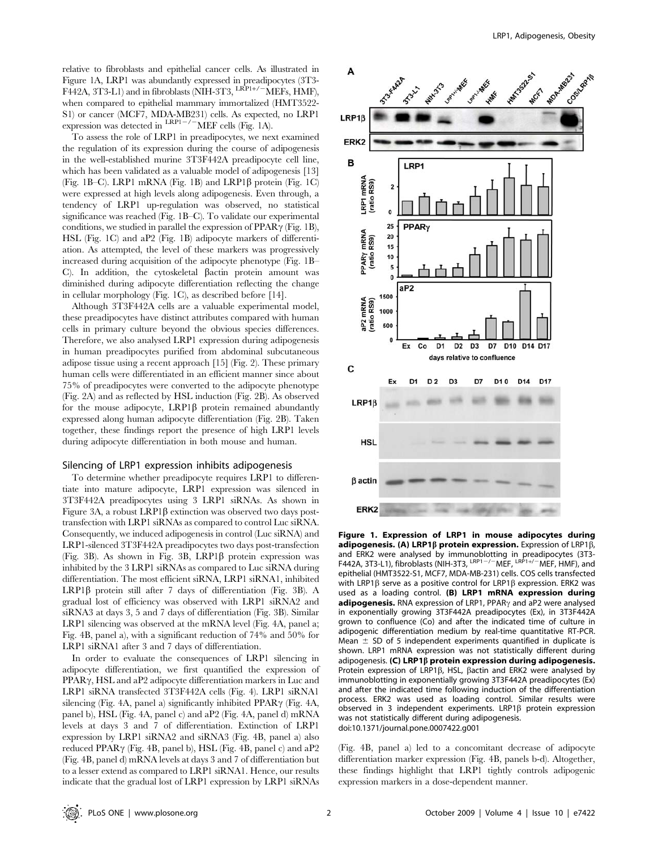relative to fibroblasts and epithelial cancer cells. As illustrated in Figure 1A, LRP1 was abundantly expressed in preadipocytes (3T3- F442A, 3T3-L1) and in fibroblasts (NIH-3T3,  $\frac{LRP1+/-}{MEFs}$ , HMF), when compared to epithelial mammary immortalized (HMT3522- S1) or cancer (MCF7, MDA-MB231) cells. As expected, no LRP1 expression was detected in  $\frac{\text{LRP1}-}{\text{MEF}}$  cells (Fig. 1A).

To assess the role of LRP1 in preadipocytes, we next examined the regulation of its expression during the course of adipogenesis in the well-established murine 3T3F442A preadipocyte cell line, which has been validated as a valuable model of adipogenesis [13] (Fig. 1B–C). LRP1 mRNA (Fig. 1B) and LRP1 $\beta$  protein (Fig. 1C) were expressed at high levels along adipogenesis. Even through, a tendency of LRP1 up-regulation was observed, no statistical significance was reached (Fig. 1B–C). To validate our experimental conditions, we studied in parallel the expression of  $PPAR\gamma$  (Fig. 1B), HSL (Fig. 1C) and aP2 (Fig. 1B) adipocyte markers of differentiation. As attempted, the level of these markers was progressively increased during acquisition of the adipocyte phenotype (Fig. 1B– C). In addition, the cytoskeletal  $\beta$ actin protein amount was diminished during adipocyte differentiation reflecting the change in cellular morphology (Fig. 1C), as described before [14].

Although 3T3F442A cells are a valuable experimental model, these preadipocytes have distinct attributes compared with human cells in primary culture beyond the obvious species differences. Therefore, we also analysed LRP1 expression during adipogenesis in human preadipocytes purified from abdominal subcutaneous adipose tissue using a recent approach [15] (Fig. 2). These primary human cells were differentiated in an efficient manner since about 75% of preadipocytes were converted to the adipocyte phenotype (Fig. 2A) and as reflected by HSL induction (Fig. 2B). As observed for the mouse adipocyte,  $LRP1\beta$  protein remained abundantly expressed along human adipocyte differentiation (Fig. 2B). Taken together, these findings report the presence of high LRP1 levels during adipocyte differentiation in both mouse and human.

#### Silencing of LRP1 expression inhibits adipogenesis

To determine whether preadipocyte requires LRP1 to differentiate into mature adipocyte, LRP1 expression was silenced in 3T3F442A preadipocytes using 3 LRP1 siRNAs. As shown in Figure 3A, a robust LRP1 $\beta$  extinction was observed two days posttransfection with LRP1 siRNAs as compared to control Luc siRNA. Consequently, we induced adipogenesis in control (Luc siRNA) and LRP1-silenced 3T3F442A preadipocytes two days post-transfection (Fig. 3B). As shown in Fig. 3B, LRP1 $\beta$  protein expression was inhibited by the 3 LRP1 siRNAs as compared to Luc siRNA during differentiation. The most efficient siRNA, LRP1 siRNA1, inhibited LRP1 $\beta$  protein still after 7 days of differentiation (Fig. 3B). A gradual lost of efficiency was observed with LRP1 siRNA2 and siRNA3 at days 3, 5 and 7 days of differentiation (Fig. 3B). Similar LRP1 silencing was observed at the mRNA level (Fig. 4A, panel a; Fig. 4B, panel a), with a significant reduction of 74% and 50% for LRP1 siRNA1 after 3 and 7 days of differentiation.

In order to evaluate the consequences of LRP1 silencing in adipocyte differentiation, we first quantified the expression of  $PPAR\gamma$ , HSL and aP2 adipocyte differentiation markers in Luc and LRP1 siRNA transfected 3T3F442A cells (Fig. 4). LRP1 siRNA1 silencing (Fig. 4A, panel a) significantly inhibited  $PPAR\gamma$  (Fig. 4A, panel b), HSL (Fig. 4A, panel c) and aP2 (Fig. 4A, panel d) mRNA levels at days 3 and 7 of differentiation. Extinction of LRP1 expression by LRP1 siRNA2 and siRNA3 (Fig. 4B, panel a) also reduced PPAR $\gamma$  (Fig. 4B, panel b), HSL (Fig. 4B, panel c) and aP2 (Fig. 4B, panel d) mRNA levels at days 3 and 7 of differentiation but to a lesser extend as compared to LRP1 siRNA1. Hence, our results indicate that the gradual lost of LRP1 expression by LRP1 siRNAs



Figure 1. Expression of LRP1 in mouse adipocytes during adipogenesis. (A) LRP1 $\beta$  protein expression. Expression of LRP1 $\beta$ , and ERK2 were analysed by immunoblotting in preadipocytes (3T3-<br>F442A, 3T3-L1), fibroblasts (NIH-3T3, <sup>LRP1–/–</sup>MEF, <sup>LRP1+/–</sup>MEF, HMF), and epithelial (HMT3522-S1, MCF7, MDA-MB-231) cells. COS cells transfected with LRP1 $\beta$  serve as a positive control for LRP1 $\beta$  expression. ERK2 was used as a loading control. (B) LRP1 mRNA expression during adipogenesis. RNA expression of LRP1, PPAR $\gamma$  and aP2 were analysed in exponentially growing 3T3F442A preadipocytes (Ex), in 3T3F442A grown to confluence (Co) and after the indicated time of culture in adipogenic differentiation medium by real-time quantitative RT-PCR. Mean  $\pm$  SD of 5 independent experiments quantified in duplicate is shown. LRP1 mRNA expression was not statistically different during adipogenesis. (C) LRP1ß protein expression during adipogenesis. Protein expression of LRP1 $\beta$ , HSL,  $\beta$ actin and ERK2 were analysed by immunoblotting in exponentially growing 3T3F442A preadipocytes (Ex) and after the indicated time following induction of the differentiation process. ERK2 was used as loading control. Similar results were observed in 3 independent experiments. LRP1 $\beta$  protein expression was not statistically different during adipogenesis. doi:10.1371/journal.pone.0007422.g001

(Fig. 4B, panel a) led to a concomitant decrease of adipocyte differentiation marker expression (Fig. 4B, panels b-d). Altogether, these findings highlight that LRP1 tightly controls adipogenic expression markers in a dose-dependent manner.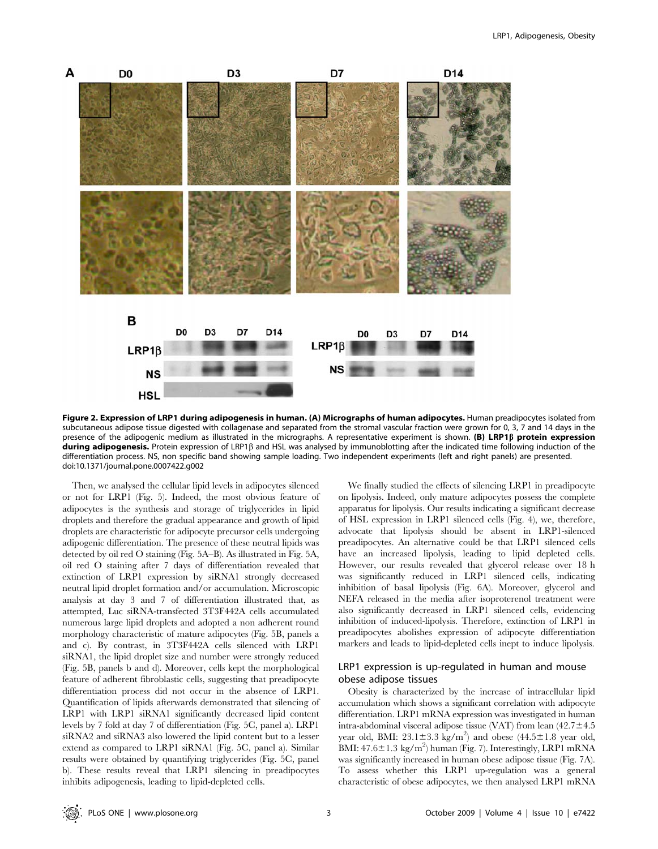

Figure 2. Expression of LRP1 during adipogenesis in human. (A) Micrographs of human adipocytes. Human preadipocytes isolated from subcutaneous adipose tissue digested with collagenase and separated from the stromal vascular fraction were grown for 0, 3, 7 and 14 days in the presence of the adipogenic medium as illustrated in the micrographs. A representative experiment is shown. (B) LRP1 $\beta$  protein expression during adipogenesis. Protein expression of LRP1 $\beta$  and HSL was analysed by immunoblotting after the indicated time following induction of the differentiation process. NS, non specific band showing sample loading. Two independent experiments (left and right panels) are presented. doi:10.1371/journal.pone.0007422.g002

Then, we analysed the cellular lipid levels in adipocytes silenced or not for LRP1 (Fig. 5). Indeed, the most obvious feature of adipocytes is the synthesis and storage of triglycerides in lipid droplets and therefore the gradual appearance and growth of lipid droplets are characteristic for adipocyte precursor cells undergoing adipogenic differentiation. The presence of these neutral lipids was detected by oil red O staining (Fig. 5A–B). As illustrated in Fig. 5A, oil red O staining after 7 days of differentiation revealed that extinction of LRP1 expression by siRNA1 strongly decreased neutral lipid droplet formation and/or accumulation. Microscopic analysis at day 3 and 7 of differentiation illustrated that, as attempted, Luc siRNA-transfected 3T3F442A cells accumulated numerous large lipid droplets and adopted a non adherent round morphology characteristic of mature adipocytes (Fig. 5B, panels a and c). By contrast, in 3T3F442A cells silenced with LRP1 siRNA1, the lipid droplet size and number were strongly reduced (Fig. 5B, panels b and d). Moreover, cells kept the morphological feature of adherent fibroblastic cells, suggesting that preadipocyte differentiation process did not occur in the absence of LRP1. Quantification of lipids afterwards demonstrated that silencing of LRP1 with LRP1 siRNA1 significantly decreased lipid content levels by 7 fold at day 7 of differentiation (Fig. 5C, panel a). LRP1 siRNA2 and siRNA3 also lowered the lipid content but to a lesser extend as compared to LRP1 siRNA1 (Fig. 5C, panel a). Similar results were obtained by quantifying triglycerides (Fig. 5C, panel b). These results reveal that LRP1 silencing in preadipocytes inhibits adipogenesis, leading to lipid-depleted cells.

We finally studied the effects of silencing LRP1 in preadipocyte on lipolysis. Indeed, only mature adipocytes possess the complete apparatus for lipolysis. Our results indicating a significant decrease of HSL expression in LRP1 silenced cells (Fig. 4), we, therefore, advocate that lipolysis should be absent in LRP1-silenced preadipocytes. An alternative could be that LRP1 silenced cells have an increased lipolysis, leading to lipid depleted cells. However, our results revealed that glycerol release over 18 h was significantly reduced in LRP1 silenced cells, indicating inhibition of basal lipolysis (Fig. 6A). Moreover, glycerol and NEFA released in the media after isoproterenol treatment were also significantly decreased in LRP1 silenced cells, evidencing inhibition of induced-lipolysis. Therefore, extinction of LRP1 in preadipocytes abolishes expression of adipocyte differentiation markers and leads to lipid-depleted cells inept to induce lipolysis.

# LRP1 expression is up-regulated in human and mouse obese adipose tissues

Obesity is characterized by the increase of intracellular lipid accumulation which shows a significant correlation with adipocyte differentiation. LRP1 mRNA expression was investigated in human intra-abdominal visceral adipose tissue (VAT) from lean  $(42.7 \pm 4.5$ year old, BMI:  $23.1 \pm 3.3$  kg/m<sup>2</sup>) and obese (44.5 $\pm$ 1.8 year old, BMI:  $47.6 \pm 1.3$  kg/m<sup>2</sup>) human (Fig. 7). Interestingly, LRP1 mRNA was significantly increased in human obese adipose tissue (Fig. 7A). To assess whether this LRP1 up-regulation was a general characteristic of obese adipocytes, we then analysed LRP1 mRNA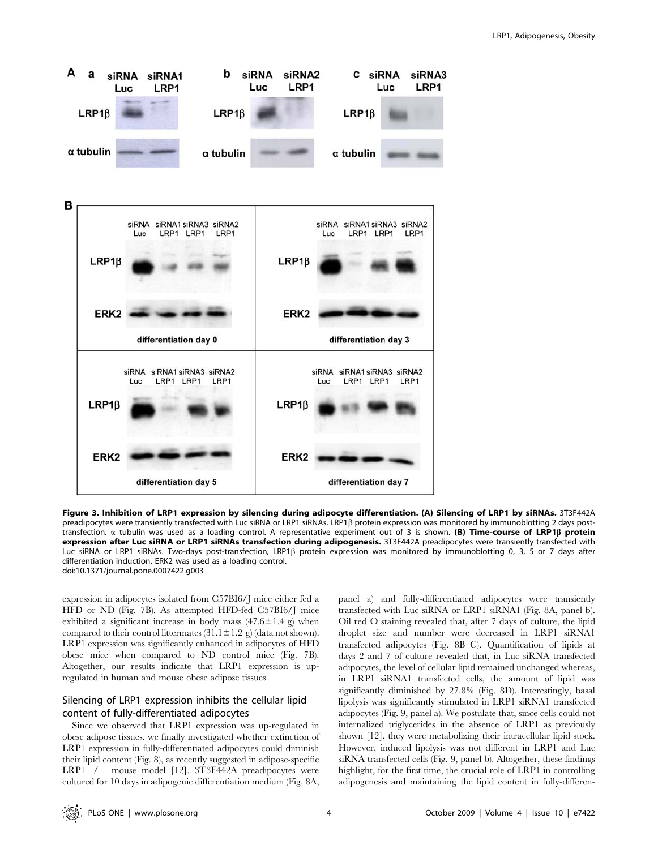

Figure 3. Inhibition of LRP1 expression by silencing during adipocyte differentiation. (A) Silencing of LRP1 by siRNAs. 3T3F442A preadipocytes were transiently transfected with Luc siRNA or LRP1 siRNAs. LRP1ß protein expression was monitored by immunoblotting 2 days posttransfection.  $\alpha$  tubulin was used as a loading control. A representative experiment out of 3 is shown. (B) Time-course of LRP1B protein expression after Luc siRNA or LRP1 siRNAs transfection during adipogenesis. 3T3F442A preadipocytes were transiently transfected with Luc siRNA or LRP1 siRNAs. Two-days post-transfection, LRP1b protein expression was monitored by immunoblotting 0, 3, 5 or 7 days after differentiation induction. ERK2 was used as a loading control. doi:10.1371/journal.pone.0007422.g003

expression in adipocytes isolated from C57BI6/J mice either fed a HFD or ND (Fig. 7B). As attempted HFD-fed C57BI6/J mice exhibited a significant increase in body mass  $(47.6 \pm 1.4 \text{ g})$  when compared to their control littermates  $(31.1 \pm 1.2 \text{ g})$  (data not shown). LRP1 expression was significantly enhanced in adipocytes of HFD obese mice when compared to ND control mice (Fig. 7B). Altogether, our results indicate that LRP1 expression is upregulated in human and mouse obese adipose tissues.

# Silencing of LRP1 expression inhibits the cellular lipid content of fully-differentiated adipocytes

Since we observed that LRP1 expression was up-regulated in obese adipose tissues, we finally investigated whether extinction of LRP1 expression in fully-differentiated adipocytes could diminish their lipid content (Fig. 8), as recently suggested in adipose-specific LRP1 $-/-$  mouse model [12]. 3T3F442A preadipocytes were cultured for 10 days in adipogenic differentiation medium (Fig. 8A,

panel a) and fully-differentiated adipocytes were transiently transfected with Luc siRNA or LRP1 siRNA1 (Fig. 8A, panel b). Oil red O staining revealed that, after 7 days of culture, the lipid droplet size and number were decreased in LRP1 siRNA1 transfected adipocytes (Fig. 8B–C). Quantification of lipids at days 2 and 7 of culture revealed that, in Luc siRNA transfected adipocytes, the level of cellular lipid remained unchanged whereas, in LRP1 siRNA1 transfected cells, the amount of lipid was significantly diminished by 27.8% (Fig. 8D). Interestingly, basal lipolysis was significantly stimulated in LRP1 siRNA1 transfected adipocytes (Fig. 9, panel a). We postulate that, since cells could not internalized triglycerides in the absence of LRP1 as previously shown [12], they were metabolizing their intracellular lipid stock. However, induced lipolysis was not different in LRP1 and Luc siRNA transfected cells (Fig. 9, panel b). Altogether, these findings highlight, for the first time, the crucial role of LRP1 in controlling adipogenesis and maintaining the lipid content in fully-differen-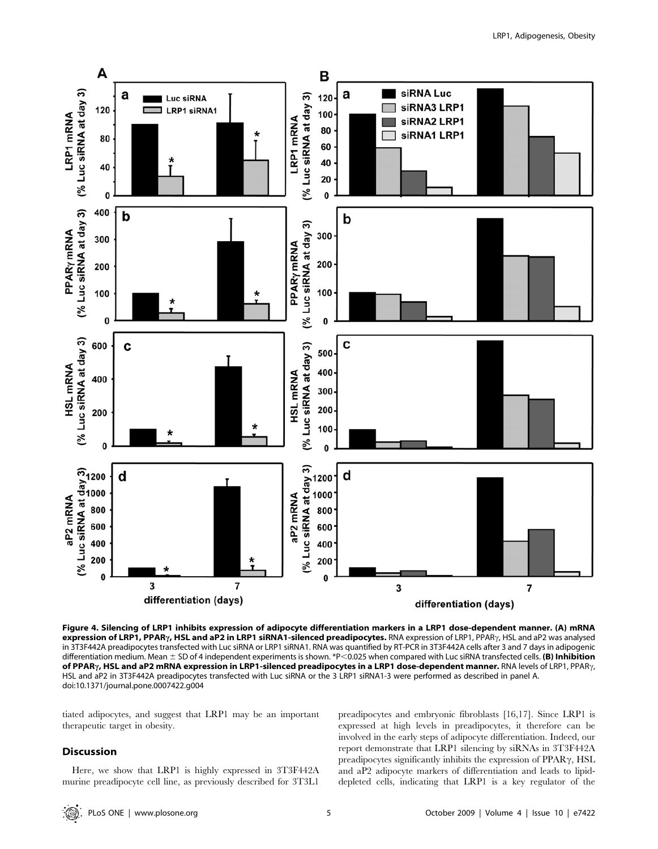

Figure 4. Silencing of LRP1 inhibits expression of adipocyte differentiation markers in a LRP1 dose-dependent manner. (A) mRNA expression of LRP1, PPAR<sub>Y</sub>, HSL and aP2 in LRP1 siRNA1-silenced preadipocytes. RNA expression of LRP1, PPAR<sub>Y</sub>, HSL and aP2 was analysed in 3T3F442A preadipocytes transfected with Luc siRNA or LRP1 siRNA1. RNA was quantified by RT-PCR in 3T3F442A cells after 3 and 7 days in adipogenic differentiation medium. Mean  $\pm$  SD of 4 independent experiments is shown. \*P<0.025 when compared with Luc siRNA transfected cells. (B) Inhibition of PPAR<sub>Y</sub>, HSL and aP2 mRNA expression in LRP1-silenced preadipocytes in a LRP1 dose-dependent manner. RNA levels of LRP1, PPAR<sub>Y</sub>, HSL and aP2 in 3T3F442A preadipocytes transfected with Luc siRNA or the 3 LRP1 siRNA1-3 were performed as described in panel A. doi:10.1371/journal.pone.0007422.g004

tiated adipocytes, and suggest that LRP1 may be an important therapeutic target in obesity.

### Discussion

Here, we show that LRP1 is highly expressed in 3T3F442A murine preadipocyte cell line, as previously described for 3T3L1

preadipocytes and embryonic fibroblasts [16,17]. Since LRP1 is expressed at high levels in preadipocytes, it therefore can be involved in the early steps of adipocyte differentiation. Indeed, our report demonstrate that LRP1 silencing by siRNAs in 3T3F442A preadipocytes significantly inhibits the expression of PPAR $\gamma$ , HSL and aP2 adipocyte markers of differentiation and leads to lipiddepleted cells, indicating that LRP1 is a key regulator of the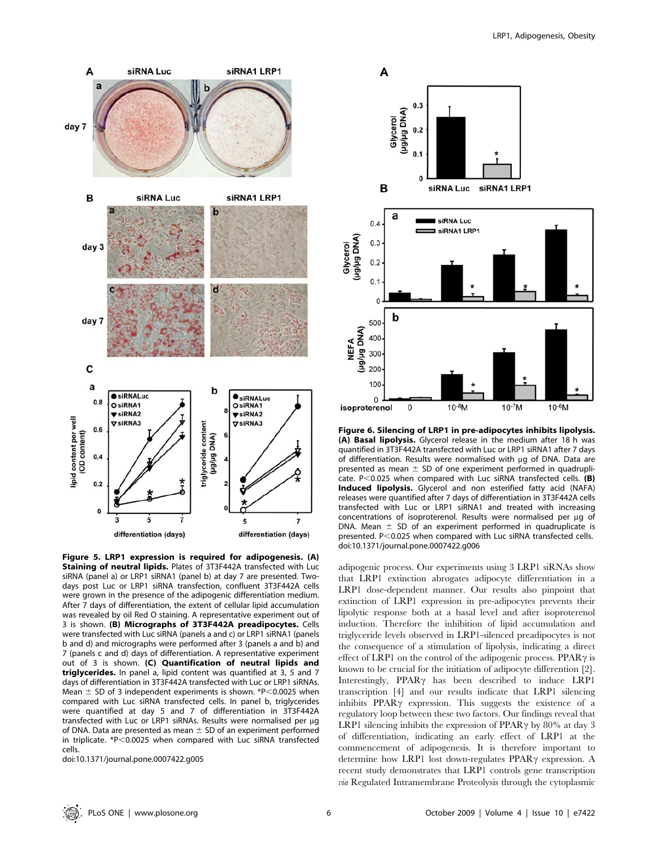

Figure 5. LRP1 expression is required for adipogenesis. (A) Staining of neutral lipids. Plates of 3T3F442A transfected with Luc siRNA (panel a) or LRP1 siRNA1 (panel b) at day 7 are presented. Twodays post Luc or LRP1 siRNA transfection, confluent 3T3F442A cells were grown in the presence of the adipogenic differentiation medium. After 7 days of differentiation, the extent of cellular lipid accumulation was revealed by oil Red O staining. A representative experiment out of 3 is shown. (B) Micrographs of 3T3F442A preadipocytes. Cells were transfected with Luc siRNA (panels a and c) or LRP1 siRNA1 (panels b and d) and micrographs were performed after 3 (panels a and b) and 7 (panels c and d) days of differentiation. A representative experiment out of 3 is shown. (C) Quantification of neutral lipids and triglycerides. In panel a, lipid content was quantified at 3, 5 and 7 days of differentiation in 3T3F442A transfected with Luc or LRP1 siRNAs. Mean  $\pm$  SD of 3 independent experiments is shown. \*P $<$ 0.0025 when compared with Luc siRNA transfected cells. In panel b, triglycerides were quantified at day 5 and 7 of differentiation in 3T3F442A transfected with Luc or LRP1 siRNAs. Results were normalised per µg of DNA. Data are presented as mean  $\pm$  SD of an experiment performed in triplicate.  $*P<0.0025$  when compared with Luc siRNA transfected cells.

doi:10.1371/journal.pone.0007422.g005



Figure 6. Silencing of LRP1 in pre-adipocytes inhibits lipolysis. (A) Basal lipolysis. Glycerol release in the medium after 18 h was quantified in 3T3F442A transfected with Luc or LRP1 siRNA1 after 7 days of differentiation. Results were normalised with mg of DNA. Data are presented as mean  $\pm$  SD of one experiment performed in quadruplicate.  $P < 0.025$  when compared with Luc siRNA transfected cells. (B) Induced lipolysis. Glycerol and non esterified fatty acid (NAFA) releases were quantified after 7 days of differentiation in 3T3F442A cells transfected with Luc or LRP1 siRNA1 and treated with increasing concentrations of isoproterenol. Results were normalised per ug of DNA. Mean  $\pm$  SD of an experiment performed in quadruplicate is presented.  $P<0.025$  when compared with Luc siRNA transfected cells. doi:10.1371/journal.pone.0007422.g006

adipogenic process. Our experiments using 3 LRP1 siRNAs show that LRP1 extinction abrogates adipocyte differentiation in a LRP1 dose-dependent manner. Our results also pinpoint that extinction of LRP1 expression in pre-adipocytes prevents their lipolytic response both at a basal level and after isoproterenol induction. Therefore the inhibition of lipid accumulation and triglyceride levels observed in LRP1-silenced preadipocytes is not the consequence of a stimulation of lipolysis, indicating a direct effect of LRP1 on the control of the adipogenic process. PPAR $\gamma$  is known to be crucial for the initiation of adipocyte differention [2]. Interestingly, PPAR<sub>Y</sub> has been described to induce LRP1 transcription [4] and our results indicate that LRP1 silencing inhibits  $PPAR\gamma$  expression. This suggests the existence of a regulatory loop between these two factors. Our findings reveal that LRP1 silencing inhibits the expression of PPAR $\gamma$  by 80% at day 3 of differentiation, indicating an early effect of LRP1 at the commencement of adipogenesis. It is therefore important to determine how LRP1 lost down-regulates PPAR $\gamma$  expression. A recent study demonstrates that LRP1 controls gene transcription via Regulated Intramembrane Proteolysis through the cytoplasmic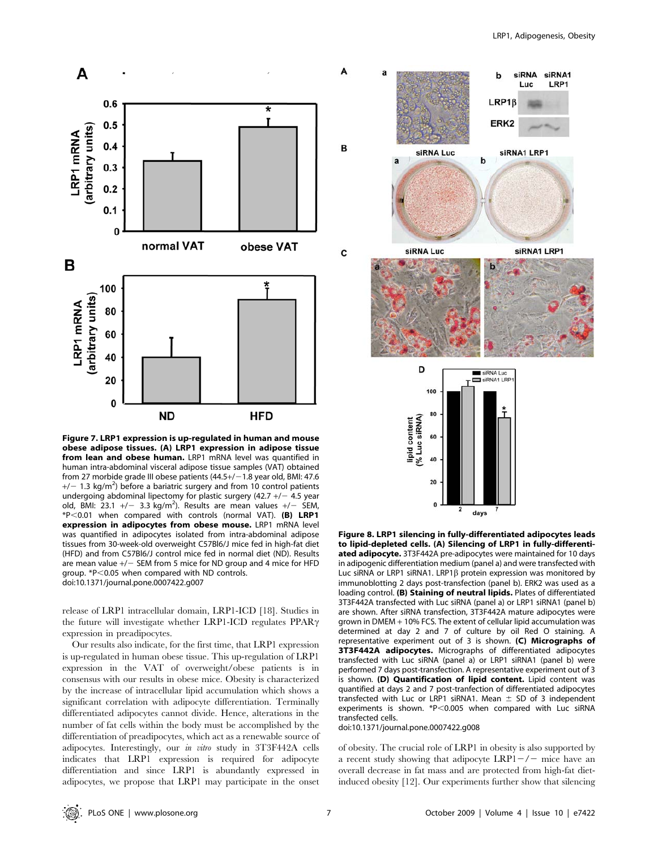

Figure 7. LRP1 expression is up-regulated in human and mouse obese adipose tissues. (A) LRP1 expression in adipose tissue from lean and obese human. LRP1 mRNA level was quantified in human intra-abdominal visceral adipose tissue samples (VAT) obtained from 27 morbide grade III obese patients  $(44.5+/-1.8$  year old, BMI: 47.6  $+/-$  1.3 kg/m<sup>2</sup>) before a bariatric surgery and from 10 control patients undergoing abdominal lipectomy for plastic surgery (42.7  $+/-$  4.5 year old, BMI:  $23.1 +/- 3.3$  kg/m<sup>2</sup>). Results are mean values  $+/-$  SEM,  $*P<0.01$  when compared with controls (normal VAT). (B) LRP1 expression in adipocytes from obese mouse. LRP1 mRNA level was quantified in adipocytes isolated from intra-abdominal adipose tissues from 30-week-old overweight C57Bl6/J mice fed in high-fat diet (HFD) and from C57Bl6/J control mice fed in normal diet (ND). Results are mean value  $+/-$  SEM from 5 mice for ND group and 4 mice for HFD group. \*P<0.05 when compared with ND controls. doi:10.1371/journal.pone.0007422.g007

release of LRP1 intracellular domain, LRP1-ICD [18]. Studies in the future will investigate whether LRP1-ICD regulates  $PPAR\gamma$ expression in preadipocytes.

Our results also indicate, for the first time, that LRP1 expression is up-regulated in human obese tissue. This up-regulation of LRP1 expression in the VAT of overweight/obese patients is in consensus with our results in obese mice. Obesity is characterized by the increase of intracellular lipid accumulation which shows a significant correlation with adipocyte differentiation. Terminally differentiated adipocytes cannot divide. Hence, alterations in the number of fat cells within the body must be accomplished by the differentiation of preadipocytes, which act as a renewable source of adipocytes. Interestingly, our in vitro study in 3T3F442A cells indicates that LRP1 expression is required for adipocyte differentiation and since LRP1 is abundantly expressed in adipocytes, we propose that LRP1 may participate in the onset



Figure 8. LRP1 silencing in fully-differentiated adipocytes leads to lipid-depleted cells. (A) Silencing of LRP1 in fully-differentiated adipocyte. 3T3F442A pre-adipocytes were maintained for 10 days in adipogenic differentiation medium (panel a) and were transfected with Luc siRNA or LRP1 siRNA1. LRP1 $\beta$  protein expression was monitored by immunoblotting 2 days post-transfection (panel b). ERK2 was used as a loading control. (B) Staining of neutral lipids. Plates of differentiated 3T3F442A transfected with Luc siRNA (panel a) or LRP1 siRNA1 (panel b) are shown. After siRNA transfection, 3T3F442A mature adipocytes were grown in DMEM + 10% FCS. The extent of cellular lipid accumulation was determined at day 2 and 7 of culture by oil Red O staining. A representative experiment out of  $3$  is shown. (C) Micrographs of 3T3F442A adipocytes. Micrographs of differentiated adipocytes transfected with Luc siRNA (panel a) or LRP1 siRNA1 (panel b) were performed 7 days post-transfection. A representative experiment out of 3 is shown. (D) Quantification of lipid content. Lipid content was quantified at days 2 and 7 post-tranfection of differentiated adipocytes transfected with Luc or LRP1 siRNA1. Mean  $\pm$  SD of 3 independent experiments is shown.  $*P<0.005$  when compared with Luc siRNA transfected cells.

doi:10.1371/journal.pone.0007422.g008

of obesity. The crucial role of LRP1 in obesity is also supported by a recent study showing that adipocyte  $LRP1-/-$  mice have an overall decrease in fat mass and are protected from high-fat dietinduced obesity [12]. Our experiments further show that silencing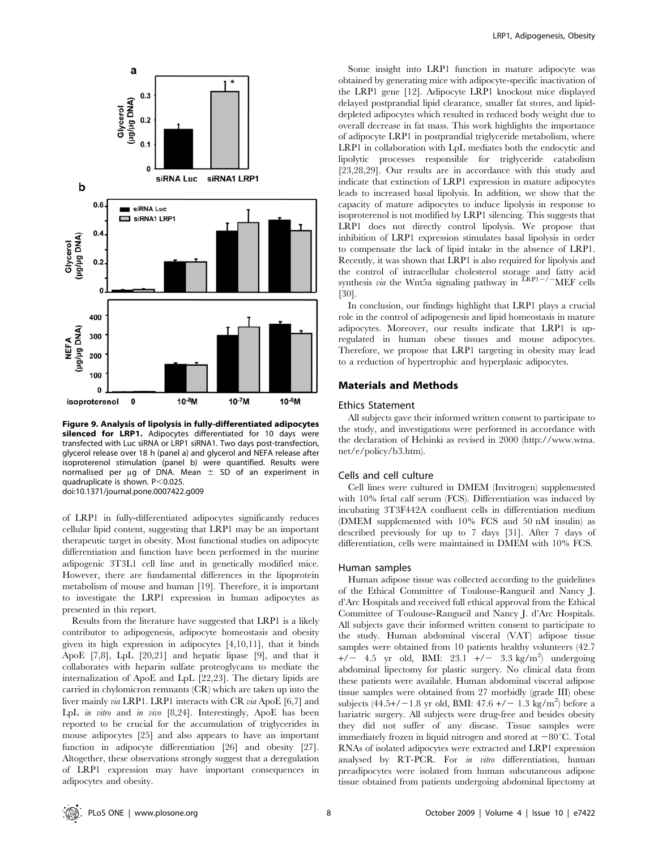

Figure 9. Analysis of lipolysis in fully-differentiated adipocytes silenced for LRP1. Adipocytes differentiated for 10 days were transfected with Luc siRNA or LRP1 siRNA1. Two days post-transfection, glycerol release over 18 h (panel a) and glycerol and NEFA release after isoproterenol stimulation (panel b) were quantified. Results were normalised per µg of DNA. Mean  $\pm$  SD of an experiment in quadruplicate is shown.  $P < 0.025$ . doi:10.1371/journal.pone.0007422.g009

of LRP1 in fully-differentiated adipocytes significantly reduces cellular lipid content, suggesting that LRP1 may be an important therapeutic target in obesity. Most functional studies on adipocyte differentiation and function have been performed in the murine adipogenic 3T3L1 cell line and in genetically modified mice. However, there are fundamental differences in the lipoprotein metabolism of mouse and human [19]. Therefore, it is important to investigate the LRP1 expression in human adipocytes as presented in this report.

Results from the literature have suggested that LRP1 is a likely contributor to adipogenesis, adipocyte homeostasis and obesity given its high expression in adipocytes [4,10,11], that it binds ApoE [7,8], LpL [20,21] and hepatic lipase [9], and that it collaborates with heparin sulfate proteoglycans to mediate the internalization of ApoE and LpL [22,23]. The dietary lipids are carried in chylomicron remnants (CR) which are taken up into the liver mainly via LRP1. LRP1 interacts with CR via ApoE [6,7] and LpL in vitro and in vivo [8,24]. Interestingly, ApoE has been reported to be crucial for the accumulation of triglycerides in mouse adipocytes [25] and also appears to have an important function in adipocyte differentiation [26] and obesity [27]. Altogether, these observations strongly suggest that a deregulation of LRP1 expression may have important consequences in adipocytes and obesity.

Some insight into LRP1 function in mature adipocyte was obtained by generating mice with adipocyte-specific inactivation of the LRP1 gene [12]. Adipocyte LRP1 knockout mice displayed delayed postprandial lipid clearance, smaller fat stores, and lipiddepleted adipocytes which resulted in reduced body weight due to overall decrease in fat mass. This work highlights the importance of adipocyte LRP1 in postprandial triglyceride metabolism, where LRP1 in collaboration with LpL mediates both the endocytic and lipolytic processes responsible for triglyceride catabolism [23,28,29]. Our results are in accordance with this study and indicate that extinction of LRP1 expression in mature adipocytes leads to increased basal lipolysis. In addition, we show that the capacity of mature adipocytes to induce lipolysis in response to isoproterenol is not modified by LRP1 silencing. This suggests that LRP1 does not directly control lipolysis. We propose that inhibition of LRP1 expression stimulates basal lipolysis in order to compensate the lack of lipid intake in the absence of LRP1. Recently, it was shown that LRP1 is also required for lipolysis and the control of intracellular cholesterol storage and fatty acid synthesis *via* the Wnt5a signaling pathway in  $\frac{\text{LRP1}-\text{/}-\text{MEF}}{\text{LRF}}$  cells [30].

In conclusion, our findings highlight that LRP1 plays a crucial role in the control of adipogenesis and lipid homeostasis in mature adipocytes. Moreover, our results indicate that LRP1 is upregulated in human obese tissues and mouse adipocytes. Therefore, we propose that LRP1 targeting in obesity may lead to a reduction of hypertrophic and hyperplasic adipocytes.

## Materials and Methods

# Ethics Statement

All subjects gave their informed written consent to participate to the study, and investigations were performed in accordance with the declaration of Helsinki as revised in 2000 (http://www.wma. net/e/policy/b3.htm).

#### Cells and cell culture

Cell lines were cultured in DMEM (Invitrogen) supplemented with 10% fetal calf serum (FCS). Differentiation was induced by incubating 3T3F442A confluent cells in differentiation medium (DMEM supplemented with 10% FCS and 50 nM insulin) as described previously for up to 7 days [31]. After 7 days of differentiation, cells were maintained in DMEM with 10% FCS.

#### Human samples

Human adipose tissue was collected according to the guidelines of the Ethical Committee of Toulouse-Rangueil and Nancy J. d'Arc Hospitals and received full ethical approval from the Ethical Committee of Toulouse-Rangueil and Nancy J. d'Arc Hospitals. All subjects gave their informed written consent to participate to the study. Human abdominal visceral (VAT) adipose tissue samples were obtained from 10 patients healthy volunteers (42.7  $+/-$  4.5 yr old, BMI: 23.1  $+/-$  3.3 kg/m<sup>2</sup>) undergoing abdominal lipectomy for plastic surgery. No clinical data from these patients were available. Human abdominal visceral adipose tissue samples were obtained from 27 morbidly (grade III) obese subjects  $(44.5+/-1.8 \text{ yr old}, \text{BMI: } 47.6+/-1.3 \text{ kg/m}^2)$  before a bariatric surgery. All subjects were drug-free and besides obesity they did not suffer of any disease. Tissue samples were immediately frozen in liquid nitrogen and stored at  $-80^{\circ}$ C. Total RNAs of isolated adipocytes were extracted and LRP1 expression analysed by RT-PCR. For in vitro differentiation, human preadipocytes were isolated from human subcutaneous adipose tissue obtained from patients undergoing abdominal lipectomy at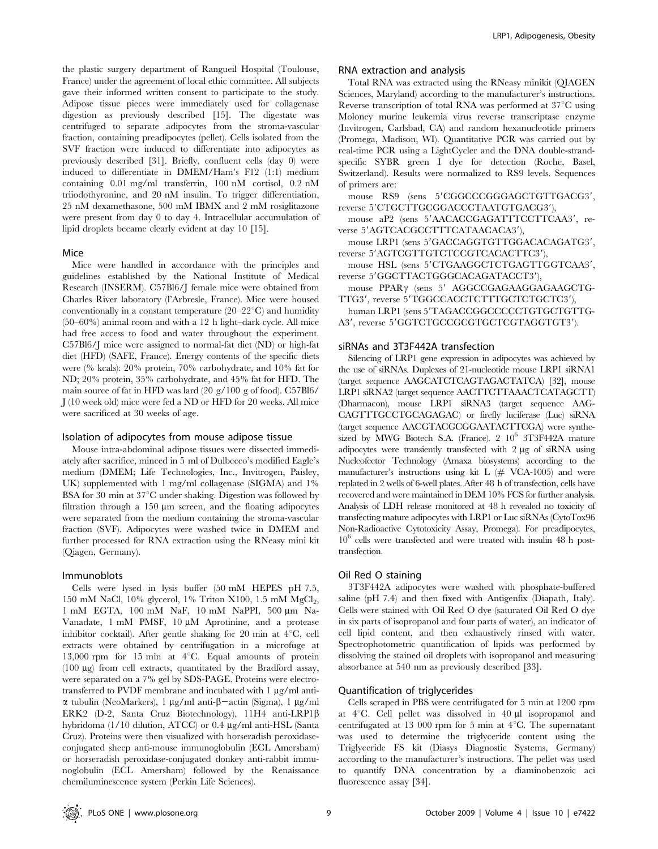the plastic surgery department of Rangueil Hospital (Toulouse, France) under the agreement of local ethic committee. All subjects gave their informed written consent to participate to the study. Adipose tissue pieces were immediately used for collagenase digestion as previously described [15]. The digestate was centrifuged to separate adipocytes from the stroma-vascular fraction, containing preadipocytes (pellet). Cells isolated from the SVF fraction were induced to differentiate into adipocytes as previously described [31]. Briefly, confluent cells (day 0) were induced to differentiate in DMEM/Ham's F12 (1:1) medium containing 0.01 mg/ml transferrin, 100 nM cortisol, 0.2 nM triiodothyronine, and 20 nM insulin. To trigger differentiation, 25 nM dexamethasone, 500 mM IBMX and 2 mM rosiglitazone were present from day 0 to day 4. Intracellular accumulation of lipid droplets became clearly evident at day 10 [15].

#### Mice

Mice were handled in accordance with the principles and guidelines established by the National Institute of Medical Research (INSERM). C57Bl6/J female mice were obtained from Charles River laboratory (l'Arbresle, France). Mice were housed conventionally in a constant temperature  $(20-22^{\circ}\text{C})$  and humidity (50–60%) animal room and with a 12 h light–dark cycle. All mice had free access to food and water throughout the experiment. C57Bl6/J mice were assigned to normal-fat diet (ND) or high-fat diet (HFD) (SAFE, France). Energy contents of the specific diets were (% kcals): 20% protein, 70% carbohydrate, and 10% fat for ND; 20% protein, 35% carbohydrate, and 45% fat for HFD. The main source of fat in HFD was lard (20 g/100 g of food). C57Bl6/ J (10 week old) mice were fed a ND or HFD for 20 weeks. All mice were sacrificed at 30 weeks of age.

#### Isolation of adipocytes from mouse adipose tissue

Mouse intra-abdominal adipose tissues were dissected immediately after sacrifice, minced in 5 ml of Dulbecco's modified Eagle's medium (DMEM; Life Technologies, Inc., Invitrogen, Paisley, UK) supplemented with 1 mg/ml collagenase (SIGMA) and 1% BSA for 30 min at  $37^{\circ}$ C under shaking. Digestion was followed by filtration through a  $150 \mu m$  screen, and the floating adipocytes were separated from the medium containing the stroma-vascular fraction (SVF). Adipocytes were washed twice in DMEM and further processed for RNA extraction using the RNeasy mini kit (Qiagen, Germany).

#### Immunoblots

Cells were lysed in lysis buffer (50 mM HEPES pH 7.5, 150 mM NaCl,  $10\%$  glycerol,  $1\%$  Triton X100, 1.5 mM MgCl<sub>2</sub>, 1 mM EGTA, 100 mM NaF, 10 mM NaPPI, 500 µm Na-Vanadate, 1 mM PMSF, 10  $\mu$ M Aprotinine, and a protease inhibitor cocktail). After gentle shaking for 20 min at  $4^{\circ}$ C, cell extracts were obtained by centrifugation in a microfuge at 13,000 rpm for 15 min at  $4^{\circ}$ C. Equal amounts of protein (100  $\mu$ g) from cell extracts, quantitated by the Bradford assay, were separated on a 7% gel by SDS-PAGE. Proteins were electrotransferred to PVDF membrane and incubated with  $1 \mu g/ml$  anti- $\alpha$  tubulin (NeoMarkers), 1 µg/ml anti- $\beta$ -actin (Sigma), 1 µg/ml ERK2 (D-2, Santa Cruz Biotechnology), 11H4 anti-LRP1b hybridoma (1/10 dilution, ATCC) or 0.4 mg/ml anti-HSL (Santa Cruz). Proteins were then visualized with horseradish peroxidaseconjugated sheep anti-mouse immunoglobulin (ECL Amersham) or horseradish peroxidase-conjugated donkey anti-rabbit immunoglobulin (ECL Amersham) followed by the Renaissance chemiluminescence system (Perkin Life Sciences).

#### RNA extraction and analysis

Total RNA was extracted using the RNeasy minikit (QIAGEN Sciences, Maryland) according to the manufacturer's instructions. Reverse transcription of total RNA was performed at  $37^{\circ}$ C using Moloney murine leukemia virus reverse transcriptase enzyme (Invitrogen, Carlsbad, CA) and random hexanucleotide primers (Promega, Madison, WI). Quantitative PCR was carried out by real-time PCR using a LightCycler and the DNA double-strandspecific SYBR green I dye for detection (Roche, Basel, Switzerland). Results were normalized to RS9 levels. Sequences of primers are:

mouse RS9 (sens 5'CGGCCCGGGAGCTGTTGACG3', reverse 5'CTGCTTGCGGACCCTAATGTGACG3'),

mouse aP2 (sens 5'AACACCGAGATTTCCTTCAA3', reverse 5'AGTCACGCCTTTCATAACACA3'),

mouse LRP1 (sens 5'GACCAGGTGTTGGACACAGATG3', reverse 5'AGTCGTTGTCTCCGTCACACTTC3'),

mouse HSL (sens 5'CTGAAGGCTCTGAGTTGGTCAA3', reverse 5'GGCTTACTGGGCACAGATACCT3'),

mouse PPAR<sub>Y</sub> (sens 5' AGGCCGAGAAGGAGAAGCTG-TTG3', reverse 5'TGGCCACCTCTTTGCTCTGCTC3'),

human LRP1 (sens 5'TAGACCGGCCCCCTGTGCTGTTG-A3', reverse 5'GGTCTGCCGCGTGCTCGTAGGTGT3').

### siRNAs and 3T3F442A transfection

Silencing of LRP1 gene expression in adipocytes was achieved by the use of siRNAs. Duplexes of 21-nucleotide mouse LRP1 siRNA1 (target sequence AAGCATCTCAGTAGACTATCA) [32], mouse LRP1 siRNA2 (target sequence AACTTCTTAAACTCATAGCTT) (Dharmacon), mouse LRP1 siRNA3 (target sequence AAG-CAGTTTGCCTGCAGAGAC) or firefly luciferase (Luc) siRNA (target sequence AACGTACGCGGAATACTTCGA) were synthesized by MWG Biotech S.A. (France). 2  $10^6$  3T3F442A mature adipocytes were transiently transfected with  $2 \mu g$  of siRNA using Nucleofector Technology (Amaxa biosystems) according to the manufacturer's instructions using kit L (*#* VCA-1005) and were replated in 2 wells of 6-well plates. After 48 h of transfection, cells have recovered and were maintained in DEM 10% FCS for further analysis. Analysis of LDH release monitored at 48 h revealed no toxicity of transfecting mature adipocytes with LRP1 or Luc siRNAs (CytoTox96 Non-Radioactive Cytotoxicity Assay, Promega). For preadipocytes,  $10^6$  cells were transfected and were treated with insulin 48 h posttransfection.

# Oil Red O staining

3T3F442A adipocytes were washed with phosphate-buffered saline (pH 7.4) and then fixed with Antigenfix (Diapath, Italy). Cells were stained with Oil Red O dye (saturated Oil Red O dye in six parts of isopropanol and four parts of water), an indicator of cell lipid content, and then exhaustively rinsed with water. Spectrophotometric quantification of lipids was performed by dissolving the stained oil droplets with isopropanol and measuring absorbance at 540 nm as previously described [33].

## Quantification of triglycerides

Cells scraped in PBS were centrifugated for 5 min at 1200 rpm at  $4^{\circ}$ C. Cell pellet was dissolved in  $40 \mu$ l isopropanol and centrifugated at 13 000 rpm for 5 min at  $4^{\circ}$ C. The supernatant was used to determine the triglyceride content using the Triglyceride FS kit (Diasys Diagnostic Systems, Germany) according to the manufacturer's instructions. The pellet was used to quantify DNA concentration by a diaminobenzoic aci fluorescence assay [34].